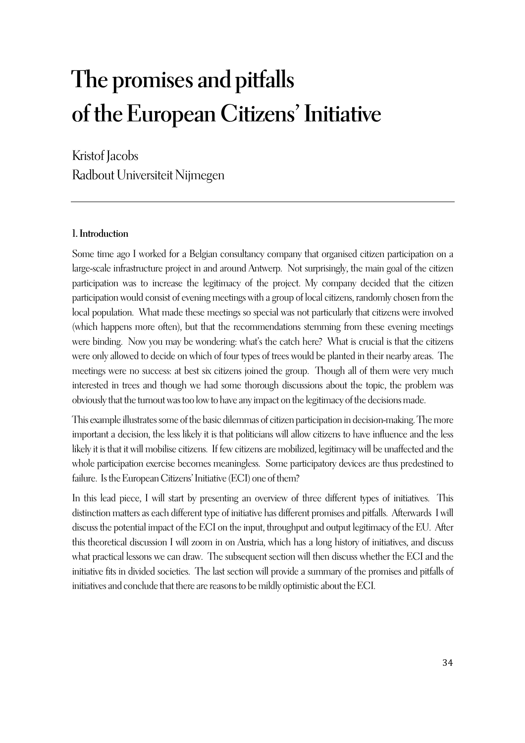# **The promises and pitfalls of the European Citizens' Initiative**

Kristof Jacobs Radbout Universiteit Nijmegen

## **1. Introduction**

Some time ago I worked for a Belgian consultancy company that organised citizen participation on a large-scale infrastructure project in and around Antwerp. Not surprisingly, the main goal of the citizen participation was to increase the legitimacy of the project. My company decided that the citizen participation would consist of evening meetings with a group of local citizens, randomly chosen from the local population. What made these meetings so special was not particularly that citizens were involved (which happens more often), but that the recommendations stemming from these evening meetings were binding. Now you may be wondering: what's the catch here? What is crucial is that the citizens were only allowed to decide on which of four types of trees would be planted in their nearby areas. The meetings were no success: at best six citizens joined the group. Though all of them were very much interested in trees and though we had some thorough discussions about the topic, the problem was obviously that the turnout was too low to have any impact on the legitimacy of the decisions made.

This example illustrates some of the basic dilemmas of citizen participation in decision-making. The more important a decision, the less likely it is that politicians will allow citizens to have influence and the less likely it is that it will mobilise citizens. If few citizens are mobilized, legitimacy will be unaffected and the whole participation exercise becomes meaningless. Some participatory devices are thus predestined to failure. Is the European Citizens' Initiative (ECI) one of them?

In this lead piece, I will start by presenting an overview of three different types of initiatives. This distinction matters as each different type of initiative has different promises and pitfalls. Afterwards I will discuss the potential impact of the ECI on the input, throughput and output legitimacy of the EU. After this theoretical discussion I will zoom in on Austria, which has a long history of initiatives, and discuss what practical lessons we can draw. The subsequent section will then discuss whether the ECI and the initiative fits in divided societies. The last section will provide a summary of the promises and pitfalls of initiatives and conclude that there are reasons to be mildly optimistic about the ECI.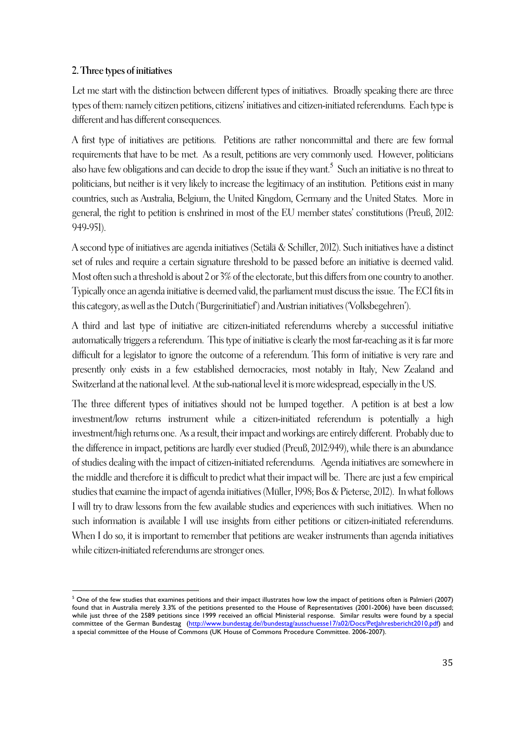## **2. Three types of initiatives**

 $\overline{a}$ 

Let me start with the distinction between different types of initiatives. Broadly speaking there are three types of them: namely citizen petitions, citizens' initiatives and citizen-initiated referendums. Each type is different and has different consequences.

A first type of initiatives are petitions. Petitions are rather noncommittal and there are few formal requirements that have to be met. As a result, petitions are very commonly used. However, politicians also have few obligations and can decide to drop the issue if they want. $^5\,$  Such an initiative is no threat to politicians, but neither is it very likely to increase the legitimacy of an institution. Petitions exist in many countries, such as Australia, Belgium, the United Kingdom, Germany and the United States. More in general, the right to petition is enshrined in most of the EU member states' constitutions (Preuß, 2012: 949-951).

A second type of initiatives are agenda initiatives (Setälä & Schiller, 2012). Such initiatives have a distinct set of rules and require a certain signature threshold to be passed before an initiative is deemed valid. Most often such a threshold is about 2 or 3% of the electorate, but this differs from one country to another. Typically once an agenda initiative is deemed valid, the parliament must discuss the issue. The ECI fits in this category, as well as the Dutch ('Burgerinitiatief') and Austrian initiatives ('Volksbegehren').

A third and last type of initiative are citizen-initiated referendums whereby a successful initiative automatically triggers a referendum. This type of initiative is clearly the most far-reaching as it is far more difficult for a legislator to ignore the outcome of a referendum. This form of initiative is very rare and presently only exists in a few established democracies, most notably in Italy, New Zealand and Switzerland at the national level. At the sub-national level it is more widespread, especially in the US.

The three different types of initiatives should not be lumped together. A petition is at best a low investment/low returns instrument while a citizen-initiated referendum is potentially a high investment/high returns one. As a result, their impact and workings are entirely different. Probably due to the difference in impact, petitions are hardly ever studied (Preuß, 2012:949), while there is an abundance of studies dealing with the impact of citizen-initiated referendums. Agenda initiatives are somewhere in the middle and therefore it is difficult to predict what their impact will be. There are just a few empirical studies that examine the impact of agenda initiatives (Müller, 1998; Bos & Pieterse, 2012). In what follows I will try to draw lessons from the few available studies and experiences with such initiatives. When no such information is available I will use insights from either petitions or citizen-initiated referendums. When I do so, it is important to remember that petitions are weaker instruments than agenda initiatives while citizen-initiated referendums are stronger ones.

 $5$  One of the few studies that examines petitions and their impact illustrates how low the impact of petitions often is Palmieri (2007) found that in Australia merely 3.3% of the petitions presented to the House of Representatives (2001-2006) have been discussed; while just three of the 2589 petitions since 1999 received an official Ministerial response. Similar results were found by a special committee of the German Bundestag (http://www.bundestag.de//bundestag/ausschuesse17/a02/Docs/PetJahresbericht2010.pdf) and a special committee of the House of Commons (UK House of Commons Procedure Committee. 2006-2007).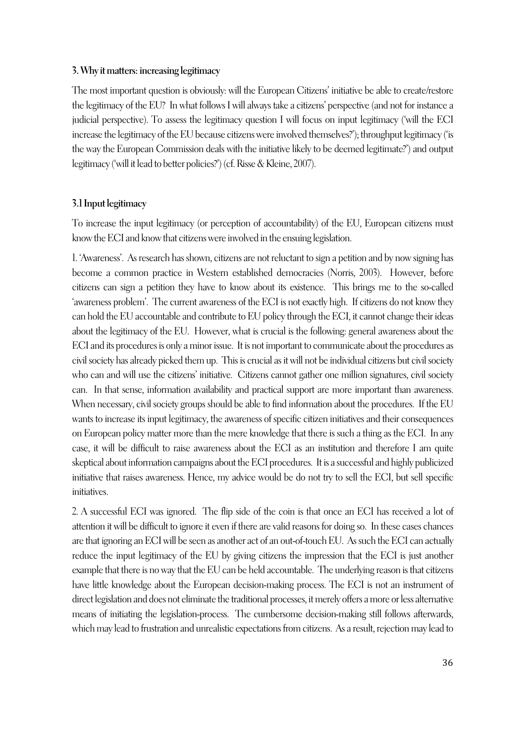#### **3. Why it matters: increasing legitimacy**

The most important question is obviously: will the European Citizens' initiative be able to create/restore the legitimacy of the EU? In what follows I will always take a citizens' perspective (and not for instance a judicial perspective). To assess the legitimacy question I will focus on input legitimacy ('will the ECI increase the legitimacy of the EU because citizens were involved themselves?'); throughput legitimacy ('is the way the European Commission deals with the initiative likely to be deemed legitimate?') and output legitimacy ('will it lead to better policies?') (cf. Risse & Kleine, 2007).

#### **3.1 Input legitimacy**

To increase the input legitimacy (or perception of accountability) of the EU, European citizens must know the ECI and know that citizens were involved in the ensuing legislation.

1. 'Awareness'. As research has shown, citizens are not reluctant to sign a petition and by now signing has become a common practice in Western established democracies (Norris, 2003). However, before citizens can sign a petition they have to know about its existence. This brings me to the so-called 'awareness problem'. The current awareness of the ECI is not exactly high. If citizens do not know they can hold the EU accountable and contribute to EU policy through the ECI, it cannot change their ideas about the legitimacy of the EU. However, what is crucial is the following: general awareness about the ECI and its procedures is only a minor issue. It is not important to communicate about the procedures as civil society has already picked them up. This is crucial as it will not be individual citizens but civil society who can and will use the citizens' initiative. Citizens cannot gather one million signatures, civil society can. In that sense, information availability and practical support are more important than awareness. When necessary, civil society groups should be able to find information about the procedures. If the EU wants to increase its input legitimacy, the awareness of specific citizen initiatives and their consequences on European policy matter more than the mere knowledge that there is such a thing as the ECI. In any case, it will be difficult to raise awareness about the ECI as an institution and therefore I am quite skeptical about information campaigns about the ECI procedures. It is a successful and highly publicized initiative that raises awareness. Hence, my advice would be do not try to sell the ECI, but sell specific initiatives.

2. A successful ECI was ignored. The flip side of the coin is that once an ECI has received a lot of attention it will be difficult to ignore it even if there are valid reasons for doing so. In these cases chances are that ignoring an ECI will be seen as another act of an out-of-touch EU. As such the ECI can actually reduce the input legitimacy of the EU by giving citizens the impression that the ECI is just another example that there is no way that the EU can be held accountable. The underlying reason is that citizens have little knowledge about the European decision-making process. The ECI is not an instrument of direct legislation and does not eliminate the traditional processes, it merely offers a more or less alternative means of initiating the legislation-process. The cumbersome decision-making still follows afterwards, which may lead to frustration and unrealistic expectations from citizens. As a result, rejection may lead to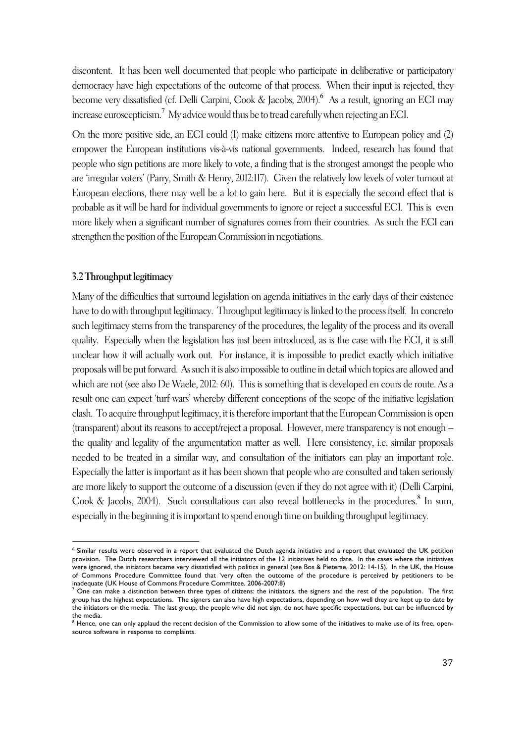discontent. It has been well documented that people who participate in deliberative or participatory democracy have high expectations of the outcome of that process. When their input is rejected, they become very dissatisfied (cf. Delli Carpini, Cook & Jacobs, 2004). <sup>6</sup> As a result, ignoring an ECI may increase euroscepticism.<sup>7</sup> My advice would thus be to tread carefully when rejecting an ECI.

On the more positive side, an ECI could (1) make citizens more attentive to European policy and (2) empower the European institutions vis-à-vis national governments. Indeed, research has found that people who sign petitions are more likely to vote, a finding that is the strongest amongst the people who are 'irregular voters' (Parry, Smith & Henry, 2012:117). Given the relatively low levels of voter turnout at European elections, there may well be a lot to gain here. But it is especially the second effect that is probable as it will be hard for individual governments to ignore or reject a successful ECI. This is even more likely when a significant number of signatures comes from their countries. As such the ECI can strengthen the position of the European Commission in negotiations.

#### **3.2 Throughput legitimacy**

 $\overline{a}$ 

Many of the difficulties that surround legislation on agenda initiatives in the early days of their existence have to do with throughput legitimacy. Throughput legitimacy is linked to the process itself. In concreto such legitimacy stems from the transparency of the procedures, the legality of the process and its overall quality. Especially when the legislation has just been introduced, as is the case with the ECI, it is still unclear how it will actually work out. For instance, it is impossible to predict exactly which initiative proposals will be put forward. As such it is also impossible to outline in detail which topics are allowed and which are not (see also De Waele, 2012: 60). This is something that is developed en cours de route. As a result one can expect 'turf wars' whereby different conceptions of the scope of the initiative legislation clash. To acquire throughput legitimacy, it is therefore important that the European Commission is open (transparent) about its reasons to accept/reject a proposal. However, mere transparency is not enough – the quality and legality of the argumentation matter as well. Here consistency, i.e. similar proposals needed to be treated in a similar way, and consultation of the initiators can play an important role. Especially the latter is important as it has been shown that people who are consulted and taken seriously are more likely to support the outcome of a discussion (even if they do not agree with it) (Delli Carpini, Cook & Jacobs, 2004). Such consultations can also reveal bottlenecks in the procedures.<sup>8</sup> In sum, especially in the beginning it is important to spend enough time on building throughput legitimacy.

<sup>6</sup> Similar results were observed in a report that evaluated the Dutch agenda initiative and a report that evaluated the UK petition provision. The Dutch researchers interviewed all the initiators of the 12 initiatives held to date. In the cases where the initiatives were ignored, the initiators became very dissatisfied with politics in general (see Bos & Pieterse, 2012: 14-15). In the UK, the House of Commons Procedure Committee found that 'very often the outcome of the procedure is perceived by petitioners to be inadequate (UK House of Commons Procedure Committee. 2006-2007:8)

 $^7$  One can make a distinction between three types of citizens: the initiators, the signers and the rest of the population. The first group has the highest expectations. The signers can also have high expectations, depending on how well they are kept up to date by the initiators or the media. The last group, the people who did not sign, do not have specific expectations, but can be influenced by the media.

<sup>&</sup>lt;sup>8</sup> Hence, one can only applaud the recent decision of the Commission to allow some of the initiatives to make use of its free, opensource software in response to complaints.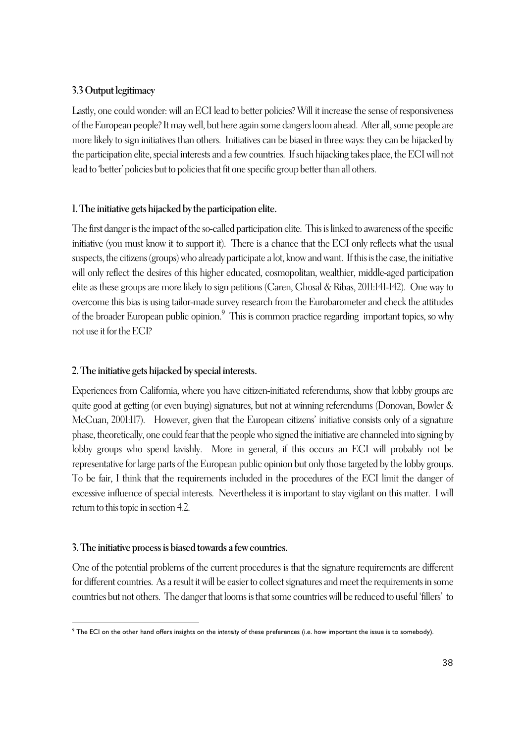# **3.3 Output legitimacy**

Lastly, one could wonder: will an ECI lead to better policies? Will it increase the sense of responsiveness of the European people? It may well, but here again some dangers loom ahead. After all, some people are more likely to sign initiatives than others. Initiatives can be biased in three ways: they can be hijacked by the participation elite, special interests and a few countries. If such hijacking takes place, the ECI will not lead to 'better' policies but to policies that fit one specific group better than all others.

# **1. The initiative gets hijacked by the participation elite.**

The first danger is the impact of the so-called participation elite. This is linked to awareness of the specific initiative (you must know it to support it). There is a chance that the ECI only reflects what the usual suspects, the citizens (groups) who already participate a lot, know and want. If this is the case, the initiative will only reflect the desires of this higher educated, cosmopolitan, wealthier, middle-aged participation elite as these groups are more likely to sign petitions (Caren, Ghosal & Ribas, 2011:141-142). One way to overcome this bias is using tailor-made survey research from the Eurobarometer and check the attitudes of the broader European public opinion.<sup>9</sup> This is common practice regarding important topics, so why not use it for the ECI?

# **2. The initiative gets hijacked by special interests.**

Experiences from California, where you have citizen-initiated referendums, show that lobby groups are quite good at getting (or even buying) signatures, but not at winning referendums (Donovan, Bowler & McCuan, 2001:117). However, given that the European citizens' initiative consists only of a signature phase, theoretically, one could fear that the people who signed the initiative are channeled into signing by lobby groups who spend lavishly. More in general, if this occurs an ECI will probably not be representative for large parts of the European public opinion but only those targeted by the lobby groups. To be fair, I think that the requirements included in the procedures of the ECI limit the danger of excessive influence of special interests. Nevertheless it is important to stay vigilant on this matter. I will return to this topic in section 4.2.

## **3. The initiative process is biased towards a few countries.**

One of the potential problems of the current procedures is that the signature requirements are different for different countries. As a result it will be easier to collect signatures and meet the requirements in some countries but not others. The danger that looms is that some countries will be reduced to useful 'fillers' to

 $\overline{a}$ <sup>9</sup> The ECI on the other hand offers insights on the *intensity* of these preferences (i.e. how important the issue is to somebody).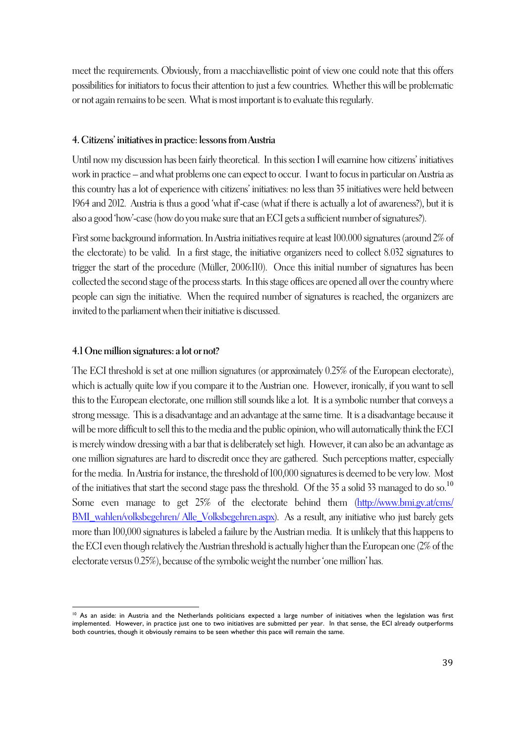meet the requirements. Obviously, from a macchiavellistic point of view one could note that this offers possibilities for initiators to focus their attention to just a few countries. Whether this will be problematic or not again remains to be seen. What is most important is to evaluate this regularly.

## **4. Citizens' initiatives in practice: lessons from Austria**

Until now my discussion has been fairly theoretical. In this section I will examine how citizens' initiatives work in practice – and what problems one can expect to occur. I want to focus in particular on Austria as this country has a lot of experience with citizens' initiatives: no less than 35 initiatives were held between 1964 and 2012. Austria is thus a good 'what if'-case (what if there is actually a lot of awareness?), but it is also a good 'how'-case (how do you make sure that an ECI gets a sufficient number of signatures?).

First some background information. In Austria initiatives require at least 100.000 signatures (around 2% of the electorate) to be valid. In a first stage, the initiative organizers need to collect 8.032 signatures to trigger the start of the procedure (Müller, 2006:110). Once this initial number of signatures has been collected the second stage of the process starts. In this stage offices are opened all over the country where people can sign the initiative. When the required number of signatures is reached, the organizers are invited to the parliament when their initiative is discussed.

# **4.1 One million signatures: a lot or not?**

The ECI threshold is set at one million signatures (or approximately 0.25% of the European electorate), which is actually quite low if you compare it to the Austrian one. However, ironically, if you want to sell this to the European electorate, one million still sounds like a lot. It is a symbolic number that conveys a strong message. This is a disadvantage and an advantage at the same time. It is a disadvantage because it will be more difficult to sell this to the media and the public opinion, who will automatically think the ECI is merely window dressing with a bar that is deliberately set high. However, it can also be an advantage as one million signatures are hard to discredit once they are gathered. Such perceptions matter, especially for the media. In Austria for instance, the threshold of 100,000 signatures is deemed to be very low. Most of the initiatives that start the second stage pass the threshold. Of the 35 a solid 33 managed to do so.<sup>10</sup> Some even manage to get 25% of the electorate behind them (http://www.bmi.gv.at/cms/ BMI\_wahlen/volksbegehren/ Alle\_Volksbegehren.aspx). As a result, any initiative who just barely gets more than 100,000 signatures is labeled a failure by the Austrian media. It is unlikely that this happens to the ECI even though relatively the Austrian threshold is actually higher than the European one (2% of the electorate versus 0.25%), because of the symbolic weight the number 'one million' has.

 $\overline{a}$ <sup>10</sup> As an aside: in Austria and the Netherlands politicians expected a large number of initiatives when the legislation was first implemented. However, in practice just one to two initiatives are submitted per year. In that sense, the ECI already outperforms both countries, though it obviously remains to be seen whether this pace will remain the same.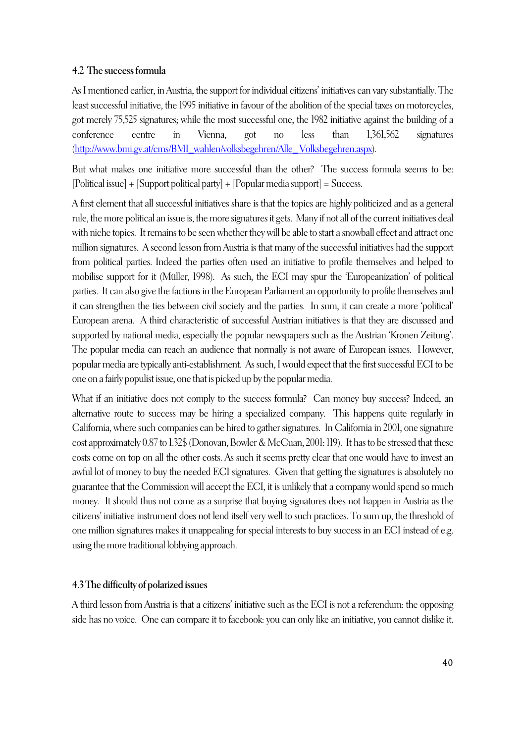## **4.2 The success formula**

As I mentioned earlier, in Austria, the support for individual citizens' initiatives can vary substantially. The least successful initiative, the 1995 initiative in favour of the abolition of the special taxes on motorcycles, got merely 75,525 signatures; while the most successful one, the 1982 initiative against the building of a conference centre in Vienna, got no less than 1,361,562 signatures (http://www.bmi.gv.at/cms/BMI\_wahlen/volksbegehren/Alle\_ Volksbegehren.aspx).

But what makes one initiative more successful than the other? The success formula seems to be: [Political issue] + [Support political party] + [Popular media support] = Success.

A first element that all successful initiatives share is that the topics are highly politicized and as a general rule, the more political an issue is, the more signatures it gets. Many if not all of the current initiatives deal with niche topics. It remains to be seen whether they will be able to start a snowball effect and attract one million signatures. A second lesson from Austria is that many of the successful initiatives had the support from political parties. Indeed the parties often used an initiative to profile themselves and helped to mobilise support for it (Müller, 1998). As such, the ECI may spur the 'Europeanization' of political parties. It can also give the factions in the European Parliament an opportunity to profile themselves and it can strengthen the ties between civil society and the parties. In sum, it can create a more 'political' European arena. A third characteristic of successful Austrian initiatives is that they are discussed and supported by national media, especially the popular newspapers such as the Austrian 'Kronen Zeitung'. The popular media can reach an audience that normally is not aware of European issues. However, popular media are typically anti-establishment. As such, I would expect that the first successful ECI to be one on a fairly populist issue, one that is picked up by the popular media.

What if an initiative does not comply to the success formula? Can money buy success? Indeed, an alternative route to success may be hiring a specialized company. This happens quite regularly in California, where such companies can be hired to gather signatures. In California in 2001, one signature cost approximately 0.87 to 1.32\$ (Donovan, Bowler & McCuan, 2001: 119). It has to be stressed that these costs come on top on all the other costs. As such it seems pretty clear that one would have to invest an awful lot of money to buy the needed ECI signatures. Given that getting the signatures is absolutely no guarantee that the Commission will accept the ECI, it is unlikely that a company would spend so much money. It should thus not come as a surprise that buying signatures does not happen in Austria as the citizens' initiative instrument does not lend itself very well to such practices. To sum up, the threshold of one million signatures makes it unappealing for special interests to buy success in an ECI instead of e.g. using the more traditional lobbying approach.

# **4.3 The difficulty of polarized issues**

A third lesson from Austria is that a citizens' initiative such as the ECI is not a referendum: the opposing side has no voice. One can compare it to facebook: you can only like an initiative, you cannot dislike it.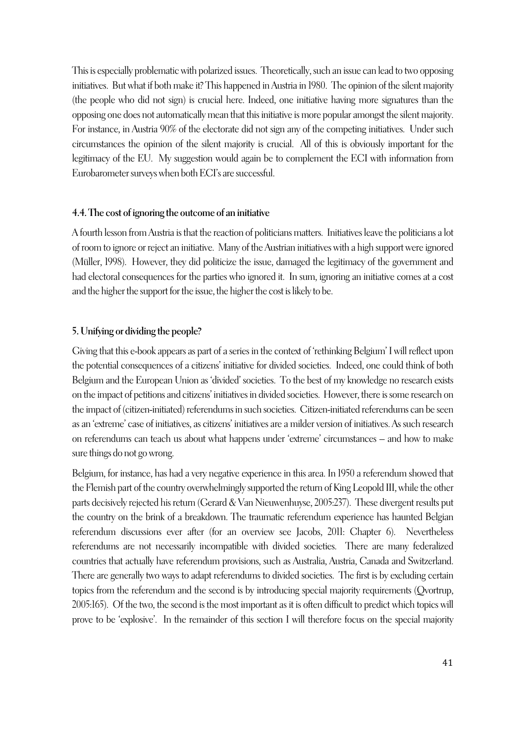This is especially problematic with polarized issues. Theoretically, such an issue can lead to two opposing initiatives. But what if both make it? This happened in Austria in 1980. The opinion of the silent majority (the people who did not sign) is crucial here. Indeed, one initiative having more signatures than the opposing one does not automatically mean that this initiative is more popular amongst the silent majority. For instance, in Austria 90% of the electorate did not sign any of the competing initiatives. Under such circumstances the opinion of the silent majority is crucial. All of this is obviously important for the legitimacy of the EU. My suggestion would again be to complement the ECI with information from Eurobarometer surveys when both ECI's are successful.

#### **4.4. The cost of ignoring the outcome of an initiative**

A fourth lesson from Austria is that the reaction of politicians matters. Initiatives leave the politicians a lot of room to ignore or reject an initiative. Many of the Austrian initiatives with a high support were ignored (Müller, 1998). However, they did politicize the issue, damaged the legitimacy of the government and had electoral consequences for the parties who ignored it. In sum, ignoring an initiative comes at a cost and the higher the support for the issue, the higher the cost is likely to be.

#### **5. Unifying or dividing the people?**

Giving that this e-book appears as part of a series in the context of 'rethinking Belgium' I will reflect upon the potential consequences of a citizens' initiative for divided societies. Indeed, one could think of both Belgium and the European Union as 'divided' societies. To the best of my knowledge no research exists on the impact of petitions and citizens' initiatives in divided societies. However, there is some research on the impact of (citizen-initiated) referendums in such societies. Citizen-initiated referendums can be seen as an 'extreme' case of initiatives, as citizens' initiatives are a milder version of initiatives. As such research on referendums can teach us about what happens under 'extreme' circumstances – and how to make sure things do not go wrong.

Belgium, for instance, has had a very negative experience in this area. In 1950 a referendum showed that the Flemish part of the country overwhelmingly supported the return of King Leopold III, while the other parts decisively rejected his return (Gerard & Van Nieuwenhuyse, 2005:237). These divergent results put the country on the brink of a breakdown. The traumatic referendum experience has haunted Belgian referendum discussions ever after (for an overview see Jacobs, 2011: Chapter 6). Nevertheless referendums are not necessarily incompatible with divided societies. There are many federalized countries that actually have referendum provisions, such as Australia, Austria, Canada and Switzerland. There are generally two ways to adapt referendums to divided societies. The first is by excluding certain topics from the referendum and the second is by introducing special majority requirements (Qvortrup, 2005:165). Of the two, the second is the most important as it is often difficult to predict which topics will prove to be 'explosive'. In the remainder of this section I will therefore focus on the special majority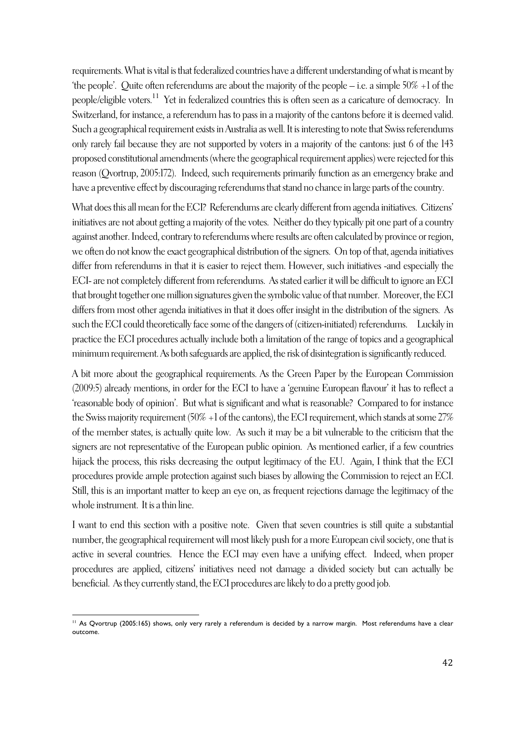requirements. What is vital is that federalized countries have a different understanding of what is meant by 'the people'. Quite often referendums are about the majority of the people – i.e. a simple 50% +1 of the people/eligible voters.<sup>11</sup> Yet in federalized countries this is often seen as a caricature of democracy. In Switzerland, for instance, a referendum has to pass in a majority of the cantons before it is deemed valid. Such a geographical requirement exists in Australia as well. It is interesting to note that Swiss referendums only rarely fail because they are not supported by voters in a majority of the cantons: just 6 of the 143 proposed constitutional amendments (where the geographical requirement applies) were rejected for this reason (Qvortrup, 2005:172). Indeed, such requirements primarily function as an emergency brake and have a preventive effect by discouraging referendums that stand no chance in large parts of the country.

What does this all mean for the ECI? Referendums are clearly different from agenda initiatives. Citizens' initiatives are not about getting a majority of the votes. Neither do they typically pit one part of a country against another. Indeed, contrary to referendums where results are often calculated by province or region, we often do not know the exact geographical distribution of the signers. On top of that, agenda initiatives differ from referendums in that it is easier to reject them. However, such initiatives -and especially the ECI-are not completely different from referendums. As stated earlier it will be difficult to ignore an ECI that brought together one million signatures given the symbolic value of that number. Moreover, the ECI differs from most other agenda initiatives in that it does offer insight in the distribution of the signers. As such the ECI could theoretically face some of the dangers of (citizen-initiated) referendums. Luckily in practice the ECI procedures actually include both a limitation of the range of topics and a geographical minimum requirement. As both safeguards are applied, the risk of disintegration is significantly reduced.

A bit more about the geographical requirements. As the Green Paper by the European Commission (2009:5) already mentions, in order for the ECI to have a 'genuine European flavour' it has to reflect a 'reasonable body of opinion'. But what is significant and what is reasonable? Compared to for instance the Swiss majority requirement (50%  $+1$  of the cantons), the ECI requirement, which stands at some 27% of the member states, is actually quite low. As such it may be a bit vulnerable to the criticism that the signers are not representative of the European public opinion. As mentioned earlier, if a few countries hijack the process, this risks decreasing the output legitimacy of the EU. Again, I think that the ECI procedures provide ample protection against such biases by allowing the Commission to reject an ECI. Still, this is an important matter to keep an eye on, as frequent rejections damage the legitimacy of the whole instrument. It is a thin line.

I want to end this section with a positive note. Given that seven countries is still quite a substantial number, the geographical requirement will most likely push for a more European civil society, one that is active in several countries. Hence the ECI may even have a unifying effect. Indeed, when proper procedures are applied, citizens' initiatives need not damage a divided society but can actually be beneficial. As they currently stand, the ECI procedures are likely to do a pretty good job.

 $\overline{a}$ <sup>11</sup> As Qvortrup (2005:165) shows, only very rarely a referendum is decided by a narrow margin. Most referendums have a clear outcome.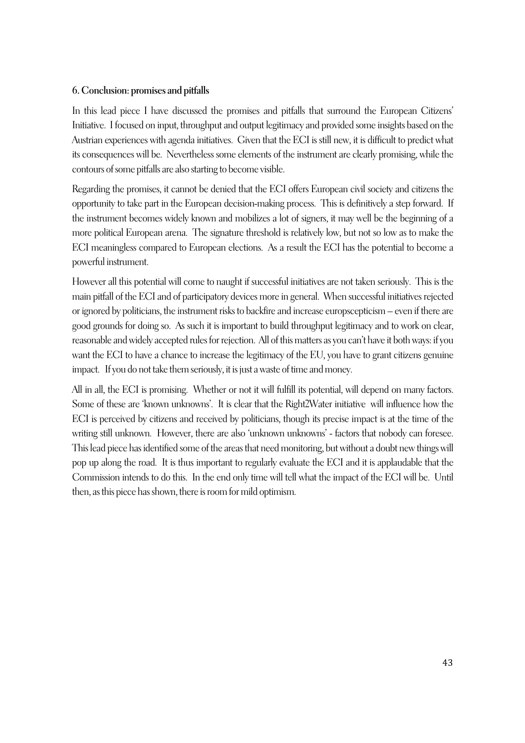## **6. Conclusion: promises and pitfalls**

In this lead piece I have discussed the promises and pitfalls that surround the European Citizens' Initiative. I focused on input, throughput and output legitimacy and provided some insights based on the Austrian experiences with agenda initiatives. Given that the ECI is still new, it is difficult to predict what its consequences will be. Nevertheless some elements of the instrument are clearly promising, while the contours of some pitfalls are also starting to become visible.

Regarding the promises, it cannot be denied that the ECI offers European civil society and citizens the opportunity to take part in the European decision-making process. This is definitively a step forward. If the instrument becomes widely known and mobilizes a lot of signers, it may well be the beginning of a more political European arena. The signature threshold is relatively low, but not so low as to make the ECI meaningless compared to European elections. As a result the ECI has the potential to become a powerful instrument.

However all this potential will come to naught if successful initiatives are not taken seriously. This is the main pitfall of the ECI and of participatory devices more in general. When successful initiatives rejected or ignored by politicians, the instrument risks to backfire and increase europscepticism – even if there are good grounds for doing so. As such it is important to build throughput legitimacy and to work on clear, reasonable and widely accepted rules for rejection. All of this matters as you can't have it both ways: if you want the ECI to have a chance to increase the legitimacy of the EU, you have to grant citizens genuine impact. If you do not take them seriously, it is just a waste of time and money.

All in all, the ECI is promising. Whether or not it will fulfill its potential, will depend on many factors. Some of these are 'known unknowns'. It is clear that the Right2Water initiative will influence how the ECI is perceived by citizens and received by politicians, though its precise impact is at the time of the writing still unknown. However, there are also 'unknown unknowns' - factors that nobody can foresee. This lead piece has identified some of the areas that need monitoring, but without a doubt new things will pop up along the road. It is thus important to regularly evaluate the ECI and it is applaudable that the Commission intends to do this. In the end only time will tell what the impact of the ECI will be. Until then, as this piece has shown, there is room for mild optimism.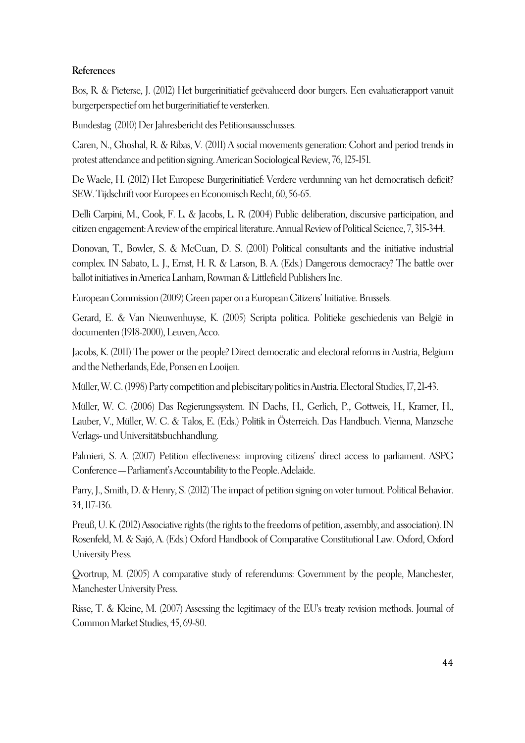## **References**

Bos, R. & Pieterse, J. (2012) Het burgerinitiatief geëvalueerd door burgers. Een evaluatierapport vanuit burgerperspectief om het burgerinitiatief te versterken.

Bundestag (2010) Der Jahresbericht des Petitionsausschusses.

Caren, N., Ghoshal, R. & Ribas, V. (2011) A social movements generation: Cohort and period trends in protest attendance and petition signing. American Sociological Review, 76, 125-151.

De Waele, H. (2012) Het Europese Burgerinitiatief: Verdere verdunning van het democratisch deficit? SEW. Tijdschrift voor Europees en Economisch Recht, 60, 56-65.

Delli Carpini, M., Cook, F. L. & Jacobs, L. R. (2004) Public deliberation, discursive participation, and citizen engagement: A review of the empirical literature. Annual Review of Political Science, 7, 315-344.

Donovan, T., Bowler, S. & McCuan, D. S. (2001) Political consultants and the initiative industrial complex. IN Sabato, L. J., Ernst, H. R. & Larson, B. A. (Eds.) Dangerous democracy? The battle over ballot initiatives in America Lanham, Rowman & Littlefield Publishers Inc.

European Commission (2009) Green paper on a European Citizens' Initiative. Brussels.

Gerard, E. & Van Nieuwenhuyse, K. (2005) Scripta politica. Politieke geschiedenis van België in documenten (1918-2000), Leuven, Acco.

Jacobs, K. (2011) The power or the people? Direct democratic and electoral reforms in Austria, Belgium and the Netherlands, Ede, Ponsen en Looijen.

Müller, W. C. (1998) Party competition and plebiscitary politics in Austria. Electoral Studies, 17, 21-43.

Müller, W. C. (2006) Das Regierungssystem. IN Dachs, H., Gerlich, P., Gottweis, H., Kramer, H., Lauber, V., Müller, W. C. & Talos, E. (Eds.) Politik in Österreich. Das Handbuch. Vienna, Manzsche Verlags- und Universitätsbuchhandlung.

Palmieri, S. A. (2007) Petition effectiveness: improving citizens' direct access to parliament. ASPG Conference—Parliament's Accountability to the People. Adelaide.

Parry, J., Smith, D. & Henry, S. (2012) The impact of petition signing on voter turnout. Political Behavior. 34, 117-136.

Preuß, U. K. (2012) Associative rights (the rights to the freedoms of petition, assembly, and association). IN Rosenfeld, M. & Sajó, A. (Eds.) Oxford Handbook of Comparative Constitutional Law. Oxford, Oxford University Press.

Qvortrup, M. (2005) A comparative study of referendums: Government by the people, Manchester, Manchester University Press.

Risse, T. & Kleine, M. (2007) Assessing the legitimacy of the EU's treaty revision methods. Journal of Common Market Studies, 45, 69-80.